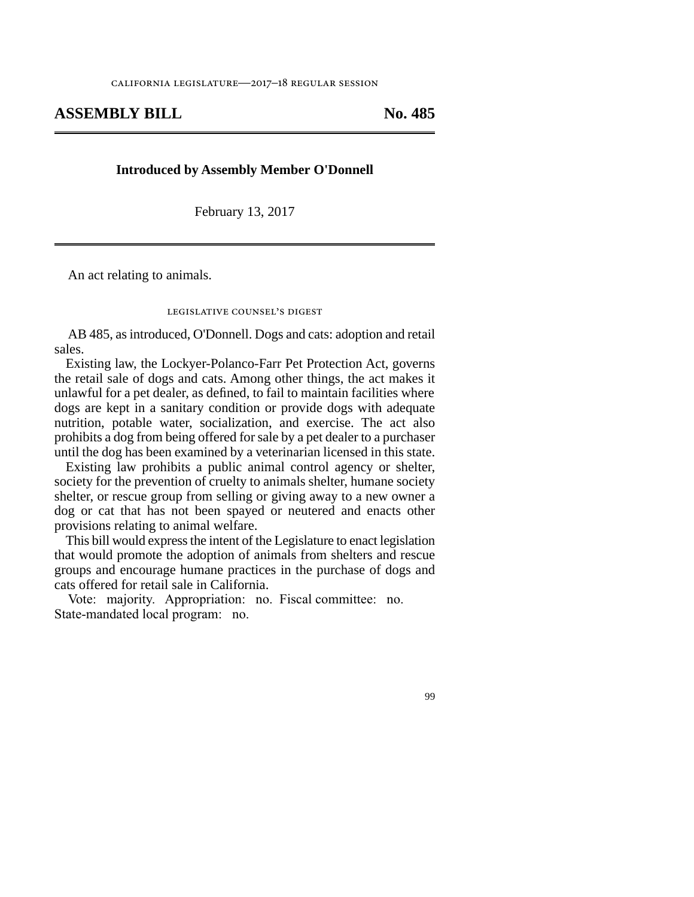## **ASSEMBLY BILL No. 485**

## **Introduced by Assembly Member O'Donnell**

February 13, 2017

An act relating to animals.

## legislative counsel's digest

AB 485, as introduced, O'Donnell. Dogs and cats: adoption and retail sales.

Existing law, the Lockyer-Polanco-Farr Pet Protection Act, governs the retail sale of dogs and cats. Among other things, the act makes it unlawful for a pet dealer, as defined, to fail to maintain facilities where dogs are kept in a sanitary condition or provide dogs with adequate nutrition, potable water, socialization, and exercise. The act also prohibits a dog from being offered for sale by a pet dealer to a purchaser until the dog has been examined by a veterinarian licensed in this state.

Existing law prohibits a public animal control agency or shelter, society for the prevention of cruelty to animals shelter, humane society shelter, or rescue group from selling or giving away to a new owner a dog or cat that has not been spayed or neutered and enacts other provisions relating to animal welfare.

This bill would express the intent of the Legislature to enact legislation that would promote the adoption of animals from shelters and rescue groups and encourage humane practices in the purchase of dogs and cats offered for retail sale in California.

Vote: majority. Appropriation: no. Fiscal committee: no. State-mandated local program: no.

99